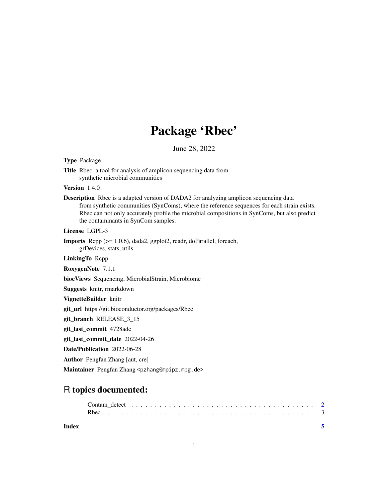## Package 'Rbec'

June 28, 2022

#### Type Package

Title Rbec: a tool for analysis of amplicon sequencing data from synthetic microbial communities

#### Version 1.4.0

Description Rbec is a adapted version of DADA2 for analyzing amplicon sequencing data from synthetic communities (SynComs), where the reference sequences for each strain exists. Rbec can not only accurately profile the microbial compositions in SynComs, but also predict the contaminants in SynCom samples.

License LGPL-3

Imports Rcpp (>= 1.0.6), dada2, ggplot2, readr, doParallel, foreach, grDevices, stats, utils

LinkingTo Rcpp

RoxygenNote 7.1.1

biocViews Sequencing, MicrobialStrain, Microbiome

Suggests knitr, rmarkdown

#### VignetteBuilder knitr

git\_url https://git.bioconductor.org/packages/Rbec

git\_branch RELEASE\_3\_15

git\_last\_commit 4728ade

git last commit date 2022-04-26

Date/Publication 2022-06-28

Author Pengfan Zhang [aut, cre]

Maintainer Pengfan Zhang <pzhang@mpipz.mpg.de>

### R topics documented:

**Index** [5](#page-4-0)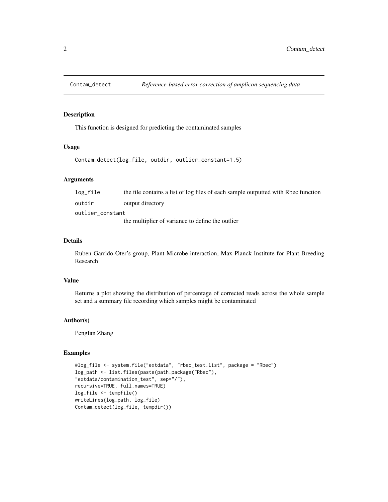<span id="page-1-0"></span>

#### Description

This function is designed for predicting the contaminated samples

#### Usage

```
Contam_detect(log_file, outdir, outlier_constant=1.5)
```
#### Arguments

| log_file         | the file contains a list of log files of each sample outputted with Rbec function |
|------------------|-----------------------------------------------------------------------------------|
| outdir           | output directory                                                                  |
| outlier_constant |                                                                                   |
|                  | the multiplier of variance to define the outlier                                  |

#### Details

Ruben Garrido-Oter's group, Plant-Microbe interaction, Max Planck Institute for Plant Breeding Research

#### Value

Returns a plot showing the distribution of percentage of corrected reads across the whole sample set and a summary file recording which samples might be contaminated

#### Author(s)

Pengfan Zhang

#### Examples

```
#log_file <- system.file("extdata", "rbec_test.list", package = "Rbec")
log_path <- list.files(paste(path.package("Rbec"),
"extdata/contamination_test", sep="/"),
recursive=TRUE, full.names=TRUE)
log_file <- tempfile()
writeLines(log_path, log_file)
Contam_detect(log_file, tempdir())
```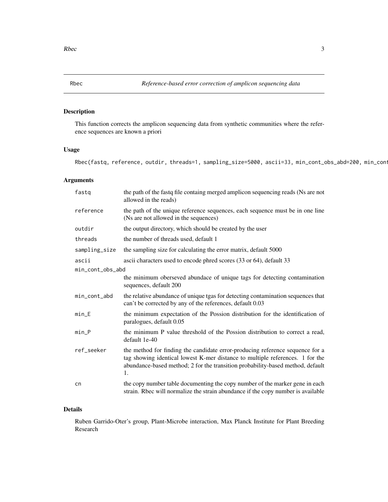<span id="page-2-0"></span>

#### Description

This function corrects the amplicon sequencing data from synthetic communities where the reference sequences are known a priori

#### Usage

Rbec(fastq, reference, outdir, threads=1, sampling\_size=5000, ascii=33, min\_cont\_obs\_abd=200, min\_con

#### Arguments

| fastq            | the path of the fastq file containg merged amplicon sequencing reads (Ns are not<br>allowed in the reads)                                                                                                                                              |  |  |  |  |  |
|------------------|--------------------------------------------------------------------------------------------------------------------------------------------------------------------------------------------------------------------------------------------------------|--|--|--|--|--|
| reference        | the path of the unique reference sequences, each sequence must be in one line<br>(Ns are not allowed in the sequences)                                                                                                                                 |  |  |  |  |  |
| outdir           | the output directory, which should be created by the user                                                                                                                                                                                              |  |  |  |  |  |
| threads          | the number of threads used, default 1                                                                                                                                                                                                                  |  |  |  |  |  |
| sampling_size    | the sampling size for calculating the error matrix, default 5000                                                                                                                                                                                       |  |  |  |  |  |
| ascii            | ascii characters used to encode phred scores (33 or 64), default 33                                                                                                                                                                                    |  |  |  |  |  |
| min_cont_obs_abd |                                                                                                                                                                                                                                                        |  |  |  |  |  |
|                  | the minimum oberseved abundace of unique tags for detecting contamination<br>sequences, default 200                                                                                                                                                    |  |  |  |  |  |
| min_cont_abd     | the relative abundance of unique tgas for detecting contamination sequences that<br>can't be corrected by any of the references, default 0.03                                                                                                          |  |  |  |  |  |
| $min$ $E$        | the minimum expectation of the Possion distribution for the identification of<br>paralogues, default 0.05                                                                                                                                              |  |  |  |  |  |
| $min_P$          | the minimum P value threshold of the Possion distribution to correct a read,<br>default 1e-40                                                                                                                                                          |  |  |  |  |  |
| ref_seeker       | the method for finding the candidate error-producing reference sequence for a<br>tag showing identical lowest K-mer distance to multiple references. 1 for the<br>abundance-based method; 2 for the transition probability-based method, default<br>1. |  |  |  |  |  |
| cn               | the copy number table documenting the copy number of the marker gene in each<br>strain. Rbec will normalize the strain abundance if the copy number is available                                                                                       |  |  |  |  |  |

#### Details

Ruben Garrido-Oter's group, Plant-Microbe interaction, Max Planck Institute for Plant Breeding Research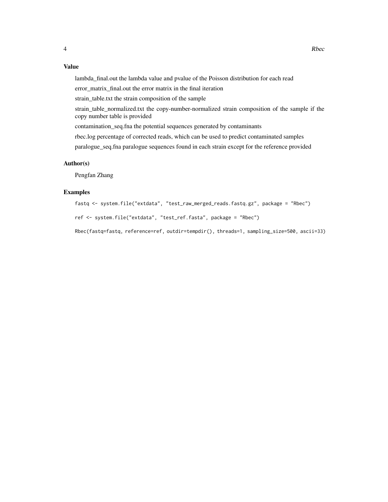#### Value

lambda\_final.out the lambda value and pvalue of the Poisson distribution for each read

error\_matrix\_final.out the error matrix in the final iteration

strain table.txt the strain composition of the sample

strain\_table\_normalized.txt the copy-number-normalized strain composition of the sample if the copy number table is provided

contamination\_seq.fna the potential sequences generated by contaminants

rbec.log percentage of corrected reads, which can be used to predict contaminated samples

paralogue\_seq.fna paralogue sequences found in each strain except for the reference provided

#### Author(s)

Pengfan Zhang

#### Examples

```
fastq <- system.file("extdata", "test_raw_merged_reads.fastq.gz", package = "Rbec")
```
ref <- system.file("extdata", "test\_ref.fasta", package = "Rbec")

Rbec(fastq=fastq, reference=ref, outdir=tempdir(), threads=1, sampling\_size=500, ascii=33)